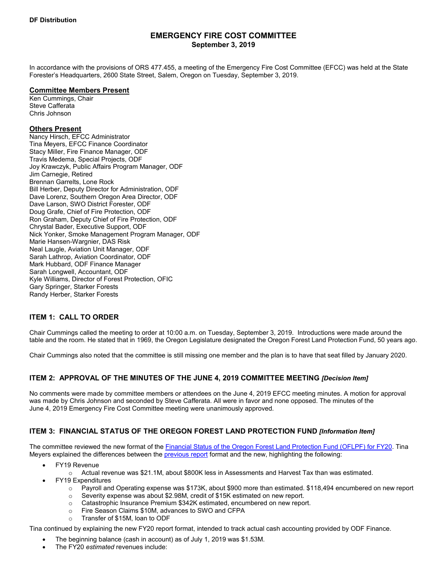# **EMERGENCY FIRE COST COMMITTEE September 3, 2019**

In accordance with the provisions of ORS 477.455, a meeting of the Emergency Fire Cost Committee (EFCC) was held at the State Forester's Headquarters, 2600 State Street, Salem, Oregon on Tuesday, September 3, 2019.

#### **Committee Members Present**

Ken Cummings, Chair Steve Cafferata Chris Johnson

### **Others Present**

Nancy Hirsch, EFCC Administrator Tina Meyers, EFCC Finance Coordinator Stacy Miller, Fire Finance Manager, ODF Travis Medema, Special Projects, ODF Joy Krawczyk, Public Affairs Program Manager, ODF Jim Carnegie, Retired Brennan Garrelts, Lone Rock Bill Herber, Deputy Director for Administration, ODF Dave Lorenz, Southern Oregon Area Director, ODF Dave Larson, SWO District Forester, ODF Doug Grafe, Chief of Fire Protection, ODF Ron Graham, Deputy Chief of Fire Protection, ODF Chrystal Bader, Executive Support, ODF Nick Yonker, Smoke Management Program Manager, ODF Marie Hansen-Wargnier, DAS Risk Neal Laugle, Aviation Unit Manager, ODF Sarah Lathrop, Aviation Coordinator, ODF Mark Hubbard, ODF Finance Manager Sarah Longwell, Accountant, ODF Kyle Williams, Director of Forest Protection, OFIC Gary Springer, Starker Forests Randy Herber, Starker Forests

# **ITEM 1: CALL TO ORDER**

Chair Cummings called the meeting to order at 10:00 a.m. on Tuesday, September 3, 2019. Introductions were made around the table and the room. He stated that in 1969, the Oregon Legislature designated the Oregon Forest Land Protection Fund, 50 years ago.

Chair Cummings also noted that the committee is still missing one member and the plan is to have that seat filled by January 2020.

# **ITEM 2: APPROVAL OF THE MINUTES OF THE JUNE 4, 2019 COMMITTEE MEETING** *[Decision Item]*

No comments were made by committee members or attendees on the June 4, 2019 EFCC meeting minutes. A motion for approval was made by Chris Johnson and seconded by Steve Cafferata. All were in favor and none opposed. The minutes of the June 4, 2019 Emergency Fire Cost Committee meeting were unanimously approved.

# **ITEM 3: FINANCIAL STATUS OF THE OREGON FOREST LAND PROTECTION FUND** *[Information Item]*

The committee reviewed the new format of the [Financial Status of the Oregon Forest Land Protection Fund \(OFLPF\) for FY20.](https://www.oregon.gov/ODF/Board/Documents/EFCC/3_EFCC%20OFLPF%20Fund%20Balance%20FY20_09_03_19.pdf) Tina Meyers explained the differences between th[e previous report](https://www.oregon.gov/ODF/Board/Documents/EFCC/3_EFCC%20FY19%20Est%20Balance%20END_09_03_19.pdf) format and the new, highlighting the following:

- FY19 Revenue
	- $\circ$  Actual revenue was \$21.1M, about \$800K less in Assessments and Harvest Tax than was estimated.
- FY19 Expenditures
	- o Payroll and Operating expense was \$173K, about \$900 more than estimated. \$118,494 encumbered on new report
	- $\circ$  Severity expense was about \$2.98M, credit of \$15K estimated on new report.
	- o Catastrophic Insurance Premium \$342K estimated, encumbered on new report.
	- $\circ$  Fire Season Claims \$10M, advances to SWO and CFPA<br> $\circ$  Transfer of \$15M, loan to ODF
	- Transfer of \$15M, loan to ODF

Tina continued by explaining the new FY20 report format, intended to track actual cash accounting provided by ODF Finance.

- The beginning balance (cash in account) as of July 1, 2019 was \$1.53M.
- The FY20 *estimated* revenues include: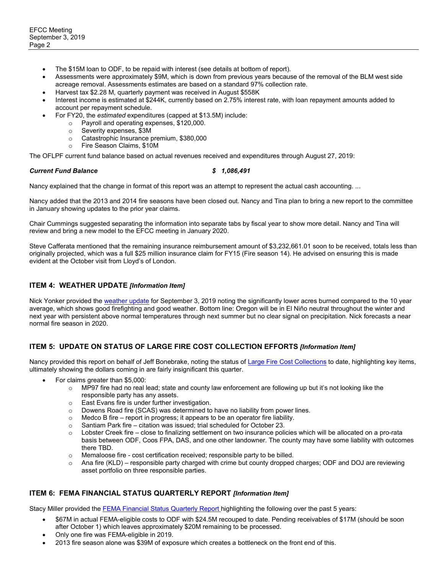- The \$15M loan to ODF, to be repaid with interest (see details at bottom of report).
- Assessments were approximately \$9M, which is down from previous years because of the removal of the BLM west side acreage removal. Assessments estimates are based on a standard 97% collection rate.
- Harvest tax \$2.28 M, quarterly payment was received in August \$558K
- Interest income is estimated at \$244K, currently based on 2.75% interest rate, with loan repayment amounts added to account per repayment schedule.
- For FY20, the *estimated* expenditures (capped at \$13.5M) include:
	- o Payroll and operating expenses, \$120,000.
	- o Severity expenses,  $$3M$ <br>o Catastrophic Insurance r
	- Catastrophic Insurance premium, \$380,000<br>○ Fire Season Claims, \$10M
	- Fire Season Claims, \$10M

The OFLPF current fund balance based on actual revenues received and expenditures through August 27, 2019:

#### *Current Fund Balance \$ 1,086,491*

Nancy explained that the change in format of this report was an attempt to represent the actual cash accounting. ...

Nancy added that the 2013 and 2014 fire seasons have been closed out. Nancy and Tina plan to bring a new report to the committee in January showing updates to the prior year claims.

Chair Cummings suggested separating the information into separate tabs by fiscal year to show more detail. Nancy and Tina will review and bring a new model to the EFCC meeting in January 2020.

Steve Cafferata mentioned that the remaining insurance reimbursement amount of \$3,232,661.01 soon to be received, totals less than originally projected, which was a full \$25 million insurance claim for FY15 (Fire season 14). He advised on ensuring this is made evident at the October visit from Lloyd's of London.

## **ITEM 4: WEATHER UPDATE** *[Information Item]*

Nick Yonker provided th[e weather update](https://www.oregon.gov/ODF/Board/Documents/EFCC/4_EFCC%20Weather%20Update%20Sep%202019.pdf) for September 3, 2019 noting the significantly lower acres burned compared to the 10 year average, which shows good firefighting and good weather. Bottom line: Oregon will be in El Niño neutral throughout the winter and next year with persistent above normal temperatures through next summer but no clear signal on precipitation. Nick forecasts a near normal fire season in 2020.

# **ITEM 5: UPDATE ON STATUS OF LARGE FIRE COST COLLECTION EFFORTS** *[Information Item]*

Nancy provided this report on behalf of Jeff Bonebrake, noting the status of [Large Fire Cost Collections](https://www.oregon.gov/ODF/Board/Documents/EFCC/5_EFCC%202019%20Cost%20Collection%20Claims%20Sept_Status_09_03_19.pdf) to date, highlighting key items, ultimately showing the dollars coming in are fairly insignificant this quarter.

- For claims greater than \$5,000:
	- o MP97 fire had no real lead; state and county law enforcement are following up but it's not looking like the responsible party has any assets.
	- o East Evans fire is under further investigation.
	- o Dowens Road fire (SCAS) was determined to have no liability from power lines.
	- o Medco B fire report in progress; it appears to be an operator fire liability.
	- o Santiam Park fire citation was issued; trial scheduled for October 23.<br>
	o Lobster Creek fire close to finalizing settlement on two insurance politically
	- Lobster Creek fire close to finalizing settlement on two insurance policies which will be allocated on a pro-rata basis between ODF, Coos FPA, DAS, and one other landowner. The county may have some liability with outcomes there TBD.
	- o Memaloose fire cost certification received; responsible party to be billed.
	- o Ana fire (KLD) responsible party charged with crime but county dropped charges; ODF and DOJ are reviewing asset portfolio on three responsible parties.

#### **ITEM 6: FEMA FINANCIAL STATUS QUARTERLY REPORT** *[Information Item]*

Stacy Miller provided th[e FEMA Financial Status Quarterly Report](https://www.oregon.gov/ODF/Board/Documents/EFCC/6_FEMA%20Financial%20Status%20Qtrly%20Rpt%20090319.pdf) highlighting the following over the past 5 years:

- \$67M in actual FEMA-eligible costs to ODF with \$24.5M recouped to date. Pending receivables of \$17M (should be soon after October 1) which leaves approximately \$20M remaining to be processed.
- Only one fire was FEMA-eligible in 2019.
- 2013 fire season alone was \$39M of exposure which creates a bottleneck on the front end of this.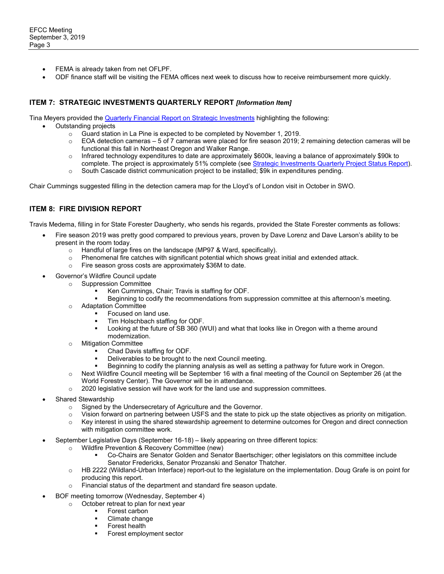- FEMA is already taken from net OFLPF.
- ODF finance staff will be visiting the FEMA offices next week to discuss how to receive reimbursement more quickly.

# **ITEM 7: STRATEGIC INVESTMENTS QUARTERLY REPORT** *[Information Item]*

Tina Meyers provided the Quarterly [Financial Report on Strategic Investments](https://www.oregon.gov/ODF/Board/Documents/EFCC/7_EFCC%20Strategic%20Investment%20Financial%20Report%20Status_09_03_19.pdf) highlighting the following:

- Outstanding projects
	- o Guard station in La Pine is expected to be completed by November 1, 2019.
	- $\circ$  EOA detection cameras 5 of 7 cameras were placed for fire season 2019; 2 remaining detection cameras will be functional this fall in Northeast Oregon and Walker Range.
	- o Infrared technology expenditures to date are approximately \$600k, leaving a balance of approximately \$90k to complete. The project is approximately 51% complete (se[e Strategic Investments Quarterly Project Status Report\)](https://www.oregon.gov/ODF/Board/Documents/EFCC/7_EFCC%20Strategic%20Investment%20Project%20Update%208_19%20-%20IR%20Mapping.pdf).
	- o South Cascade district communication project to be installed; \$9k in expenditures pending.

Chair Cummings suggested filling in the detection camera map for the Lloyd's of London visit in October in SWO.

# **ITEM 8: FIRE DIVISION REPORT**

Travis Medema, filling in for State Forester Daugherty, who sends his regards, provided the State Forester comments as follows:

- Fire season 2019 was pretty good compared to previous years, proven by Dave Lorenz and Dave Larson's ability to be present in the room today.
	- $\circ$  Handful of large fires on the landscape (MP97 & Ward, specifically).<br>  $\circ$  Phenomenal fire catches with significant potential which shows greater
	- Phenomenal fire catches with significant potential which shows great initial and extended attack.
	- o Fire season gross costs are approximately \$36M to date.
- Governor's Wildfire Council update
	- o Suppression Committee
		- Ken Cummings, Chair; Travis is staffing for ODF.
		- Beginning to codify the recommendations from suppression committee at this afternoon's meeting.
		- o Adaptation Committee
			- Focused on land use.
			- **Tim Holschbach staffing for ODF.**
			- Looking at the future of SB 360 (WUI) and what that looks like in Oregon with a theme around modernization.
		- o Mitigation Committee
			- Chad Davis staffing for ODF.
			- Deliverables to be brought to the next Council meeting.
			- Beginning to codify the planning analysis as well as setting a pathway for future work in Oregon.
		- o Next Wildfire Council meeting will be September 16 with a final meeting of the Council on September 26 (at the World Forestry Center). The Governor will be in attendance.
		- $\circ$  2020 legislative session will have work for the land use and suppression committees.
- Shared Stewardship
	- o Signed by the Undersecretary of Agriculture and the Governor.
	- o Vision forward on partnering between USFS and the state to pick up the state objectives as priority on mitigation.
	- o Key interest in using the shared stewardship agreement to determine outcomes for Oregon and direct connection with mitigation committee work.
- September Legislative Days (September 16-18) likely appearing on three different topics:
	- o Wildfire Prevention & Recovery Committee (new)
		- Co-Chairs are Senator Golden and Senator Baertschiger; other legislators on this committee include Senator Fredericks, Senator Prozanski and Senator Thatcher.
	- o HB 2222 (Wildland-Urban Interface) report-out to the legislature on the implementation. Doug Grafe is on point for producing this report.
	- Financial status of the department and standard fire season update.
- BOF meeting tomorrow (Wednesday, September 4)
	- o October retreat to plan for next year
		- Forest carbon
			- Climate change
		- Forest health
		- Forest employment sector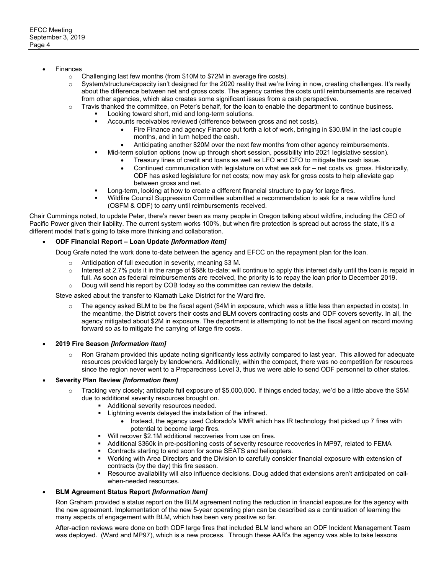- **Finances** 
	- o Challenging last few months (from \$10M to \$72M in average fire costs).
	- o System/structure/capacity isn't designed for the 2020 reality that we're living in now, creating challenges. It's really about the difference between net and gross costs. The agency carries the costs until reimbursements are received from other agencies, which also creates some significant issues from a cash perspective.
	- $\circ$  Travis thanked the committee, on Peter's behalf, for the loan to enable the department to continue business.
		- Looking toward short, mid and long-term solutions.
			- Accounts receivables reviewed (difference between gross and net costs).
				- Fire Finance and agency Finance put forth a lot of work, bringing in \$30.8M in the last couple months, and in turn helped the cash.
				- Anticipating another \$20M over the next few months from other agency reimbursements.
			- Mid-term solution options (now up through short session, possibility into 2021 legislative session).
				- Treasury lines of credit and loans as well as LFO and CFO to mitigate the cash issue.
				- Continued communication with legislature on what we ask for net costs vs. gross. Historically, ODF has asked legislature for net costs; now may ask for gross costs to help alleviate gap between gross and net.
			- Long-term, looking at how to create a different financial structure to pay for large fires.
			- Wildfire Council Suppression Committee submitted a recommendation to ask for a new wildfire fund (OSFM & ODF) to carry until reimbursements received.

Chair Cummings noted, to update Peter, there's never been as many people in Oregon talking about wildfire, including the CEO of Pacific Power given their liability. The current system works 100%, but when fire protection is spread out across the state, it's a different model that's going to take more thinking and collaboration.

#### • **ODF Financial Report – Loan Update** *[Information Item]*

Doug Grafe noted the work done to-date between the agency and EFCC on the repayment plan for the loan.

- o Anticipation of full execution in severity, meaning \$3 M.<br>o Interest at 2.7% puts it in the range of \$68k to-date: will
- Interest at 2.7% puts it in the range of \$68k to-date; will continue to apply this interest daily until the loan is repaid in full. As soon as federal reimbursements are received, the priority is to repay the loan prior to December 2019.  $\circ$  Doug will send his report by COB today so the committee can review the details.

Steve asked about the transfer to Klamath Lake District for the Ward fire.

- $\circ$  The agency asked BLM to be the fiscal agent (\$4M in exposure, which was a little less than expected in costs). In the meantime, the District covers their costs and BLM covers contracting costs and ODF covers severity. In all, the agency mitigated about \$2M in exposure. The department is attempting to not be the fiscal agent on record moving forward so as to mitigate the carrying of large fire costs.
- **2019 Fire Season** *[Information Item]*
	- $\circ$  Ron Graham provided this update noting significantly less activity compared to last year. This allowed for adequate resources provided largely by landowners. Additionally, within the compact, there was no competition for resources since the region never went to a Preparedness Level 3, thus we were able to send ODF personnel to other states.

#### • **Severity Plan Review** *[Information Item]*

- $\circ$  Tracking very closely; anticipate full exposure of \$5,000,000. If things ended today, we'd be a little above the \$5M due to additional severity resources brought on.
	- **Additional severity resources needed.**
	- Lightning events delayed the installation of the infrared.
		- Instead, the agency used Colorado's MMR which has IR technology that picked up 7 fires with potential to become large fires.
	- Will recover \$2.1M additional recoveries from use on fires.
	- Additional \$360k in pre-positioning costs of severity resource recoveries in MP97, related to FEMA
		- Contracts starting to end soon for some SEATS and helicopters.
	- Working with Area Directors and the Division to carefully consider financial exposure with extension of contracts (by the day) this fire season.
	- Resource availability will also influence decisions. Doug added that extensions aren't anticipated on callwhen-needed resources.

#### • **BLM Agreement Status Report** *[Information Item]*

Ron Graham provided a status report on the BLM agreement noting the reduction in financial exposure for the agency with the new agreement. Implementation of the new 5-year operating plan can be described as a continuation of learning the many aspects of engagement with BLM, which has been very positive so far.

After-action reviews were done on both ODF large fires that included BLM land where an ODF Incident Management Team was deployed. (Ward and MP97), which is a new process. Through these AAR's the agency was able to take lessons